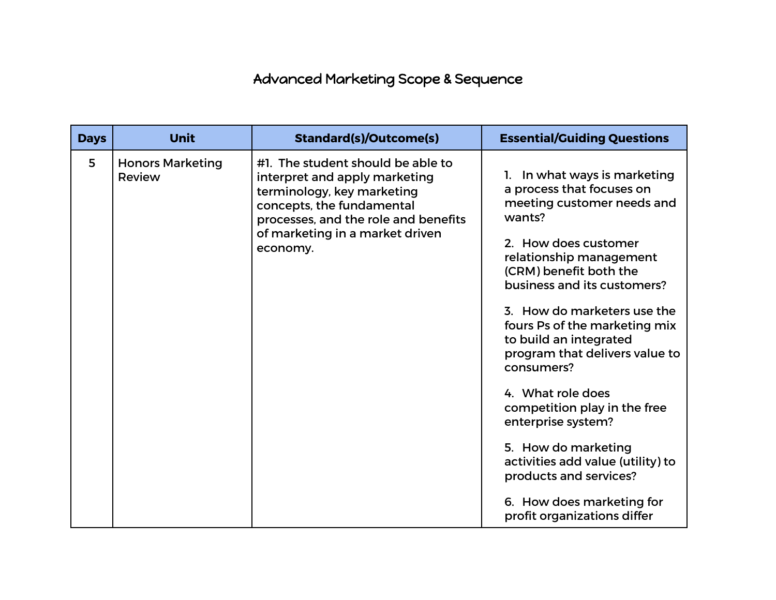## Advanced Marketing Scope & Sequence

| <b>Days</b> | <b>Unit</b>                       | <b>Standard(s)/Outcome(s)</b>                                                                                                                                                                                        | <b>Essential/Guiding Questions</b>                                                                                                                                                                                                                                                                                                                                                                                                                                                                                                                                                   |
|-------------|-----------------------------------|----------------------------------------------------------------------------------------------------------------------------------------------------------------------------------------------------------------------|--------------------------------------------------------------------------------------------------------------------------------------------------------------------------------------------------------------------------------------------------------------------------------------------------------------------------------------------------------------------------------------------------------------------------------------------------------------------------------------------------------------------------------------------------------------------------------------|
| 5           | <b>Honors Marketing</b><br>Review | #1. The student should be able to<br>interpret and apply marketing<br>terminology, key marketing<br>concepts, the fundamental<br>processes, and the role and benefits<br>of marketing in a market driven<br>economy. | 1. In what ways is marketing<br>a process that focuses on<br>meeting customer needs and<br>wants?<br>2. How does customer<br>relationship management<br>(CRM) benefit both the<br>business and its customers?<br>3. How do marketers use the<br>fours Ps of the marketing mix<br>to build an integrated<br>program that delivers value to<br>consumers?<br>4. What role does<br>competition play in the free<br>enterprise system?<br>5. How do marketing<br>activities add value (utility) to<br>products and services?<br>6. How does marketing for<br>profit organizations differ |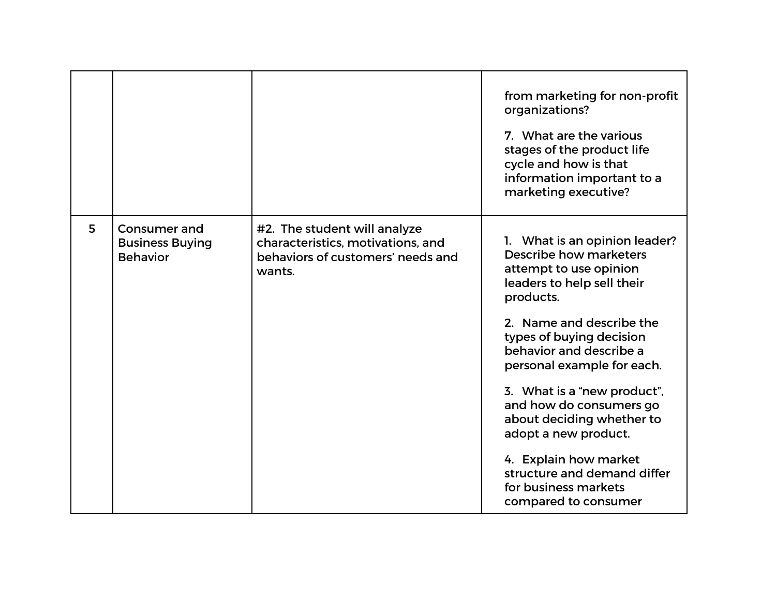|   |                                                                  |                                                                                                                  | from marketing for non-profit<br>organizations?<br>7. What are the various<br>stages of the product life<br>cycle and how is that<br>information important to a<br>marketing executive? |
|---|------------------------------------------------------------------|------------------------------------------------------------------------------------------------------------------|-----------------------------------------------------------------------------------------------------------------------------------------------------------------------------------------|
| 5 | <b>Consumer and</b><br><b>Business Buying</b><br><b>Behavior</b> | #2. The student will analyze<br>characteristics, motivations, and<br>behaviors of customers' needs and<br>wants. | 1. What is an opinion leader?<br>Describe how marketers<br>attempt to use opinion<br>leaders to help sell their<br>products.                                                            |
|   |                                                                  |                                                                                                                  | 2. Name and describe the<br>types of buying decision<br>behavior and describe a<br>personal example for each.                                                                           |
|   |                                                                  |                                                                                                                  | 3. What is a "new product",<br>and how do consumers go<br>about deciding whether to<br>adopt a new product.                                                                             |
|   |                                                                  |                                                                                                                  | 4. Explain how market<br>structure and demand differ<br>for business markets<br>compared to consumer                                                                                    |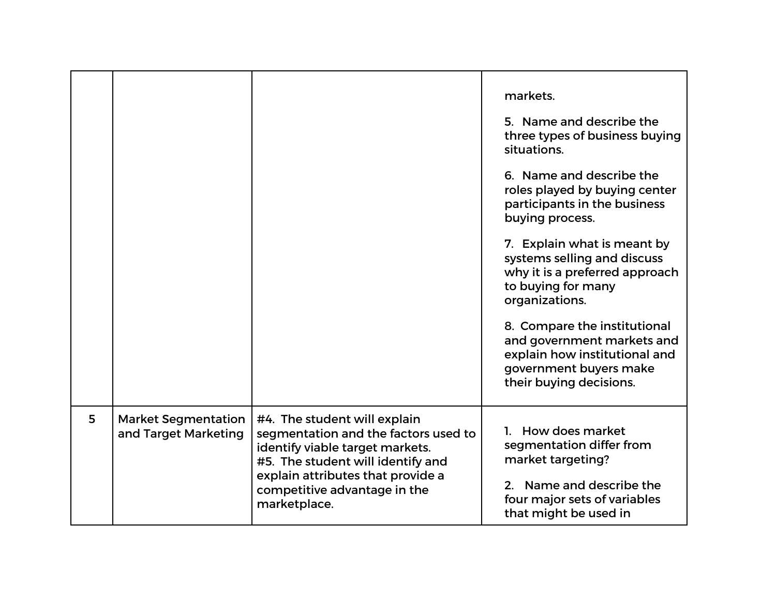|   |                                                    |                                                                                                                                                                                                                                   | markets.<br>5. Name and describe the<br>three types of business buying<br>situations.<br>6. Name and describe the<br>roles played by buying center<br>participants in the business<br>buying process.<br>7. Explain what is meant by<br>systems selling and discuss<br>why it is a preferred approach<br>to buying for many<br>organizations.<br>8. Compare the institutional<br>and government markets and<br>explain how institutional and<br>government buyers make<br>their buying decisions. |
|---|----------------------------------------------------|-----------------------------------------------------------------------------------------------------------------------------------------------------------------------------------------------------------------------------------|---------------------------------------------------------------------------------------------------------------------------------------------------------------------------------------------------------------------------------------------------------------------------------------------------------------------------------------------------------------------------------------------------------------------------------------------------------------------------------------------------|
| 5 | <b>Market Segmentation</b><br>and Target Marketing | #4. The student will explain<br>segmentation and the factors used to<br>identify viable target markets.<br>#5. The student will identify and<br>explain attributes that provide a<br>competitive advantage in the<br>marketplace. | 1. How does market<br>segmentation differ from<br>market targeting?<br>2. Name and describe the<br>four major sets of variables<br>that might be used in                                                                                                                                                                                                                                                                                                                                          |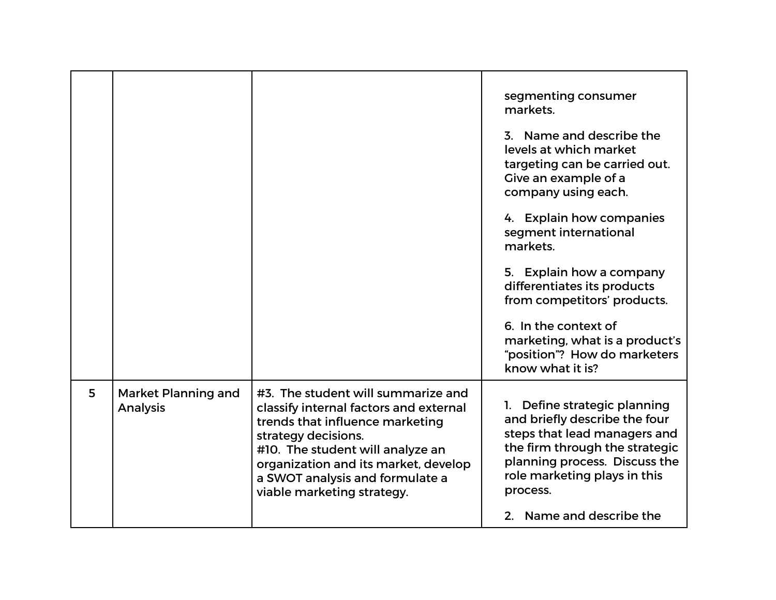|   |                                        |                                                                                                                                                                                                                                                                                     | segmenting consumer<br>markets.<br>3. Name and describe the<br>levels at which market<br>targeting can be carried out.<br>Give an example of a<br>company using each.                                                                    |
|---|----------------------------------------|-------------------------------------------------------------------------------------------------------------------------------------------------------------------------------------------------------------------------------------------------------------------------------------|------------------------------------------------------------------------------------------------------------------------------------------------------------------------------------------------------------------------------------------|
|   |                                        |                                                                                                                                                                                                                                                                                     | 4. Explain how companies<br>segment international<br>markets.                                                                                                                                                                            |
|   |                                        |                                                                                                                                                                                                                                                                                     | 5. Explain how a company<br>differentiates its products<br>from competitors' products.                                                                                                                                                   |
|   |                                        |                                                                                                                                                                                                                                                                                     | 6. In the context of<br>marketing, what is a product's<br>"position"? How do marketers<br>know what it is?                                                                                                                               |
| 5 | Market Planning and<br><b>Analysis</b> | #3. The student will summarize and<br>classify internal factors and external<br>trends that influence marketing<br>strategy decisions.<br>#10. The student will analyze an<br>organization and its market, develop<br>a SWOT analysis and formulate a<br>viable marketing strategy. | 1. Define strategic planning<br>and briefly describe the four<br>steps that lead managers and<br>the firm through the strategic<br>planning process. Discuss the<br>role marketing plays in this<br>process.<br>2. Name and describe the |
|   |                                        |                                                                                                                                                                                                                                                                                     |                                                                                                                                                                                                                                          |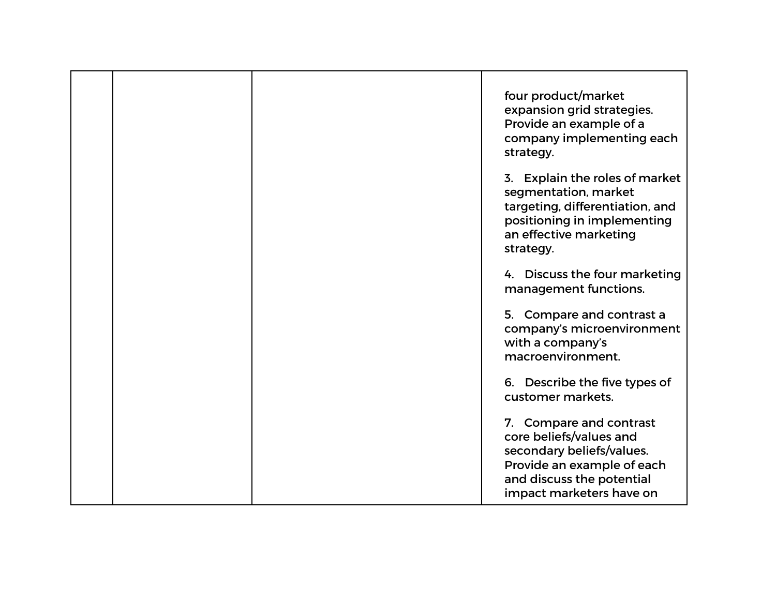|  | four product/market<br>expansion grid strategies.<br>Provide an example of a<br>company implementing each<br>strategy.                                                 |
|--|------------------------------------------------------------------------------------------------------------------------------------------------------------------------|
|  | 3. Explain the roles of market<br>segmentation, market<br>targeting, differentiation, and<br>positioning in implementing<br>an effective marketing<br>strategy.        |
|  | 4. Discuss the four marketing<br>management functions.                                                                                                                 |
|  | 5. Compare and contrast a<br>company's microenvironment<br>with a company's<br>macroenvironment.                                                                       |
|  | 6. Describe the five types of<br>customer markets.                                                                                                                     |
|  | 7. Compare and contrast<br>core beliefs/values and<br>secondary beliefs/values.<br>Provide an example of each<br>and discuss the potential<br>impact marketers have on |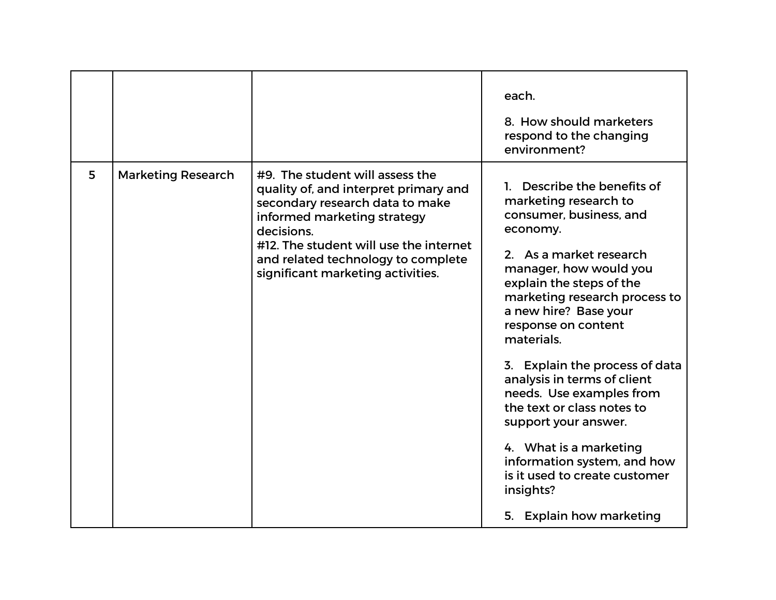|   |                           |                                                                                                                                                                                                                                                                               | each.<br>8. How should marketers<br>respond to the changing<br>environment?                                                                                                                                                                                                                                                                                                                                                                                                                                                                                    |
|---|---------------------------|-------------------------------------------------------------------------------------------------------------------------------------------------------------------------------------------------------------------------------------------------------------------------------|----------------------------------------------------------------------------------------------------------------------------------------------------------------------------------------------------------------------------------------------------------------------------------------------------------------------------------------------------------------------------------------------------------------------------------------------------------------------------------------------------------------------------------------------------------------|
| 5 | <b>Marketing Research</b> | #9. The student will assess the<br>quality of, and interpret primary and<br>secondary research data to make<br>informed marketing strategy<br>decisions.<br>#12. The student will use the internet<br>and related technology to complete<br>significant marketing activities. | Describe the benefits of<br>marketing research to<br>consumer, business, and<br>economy.<br>2. As a market research<br>manager, how would you<br>explain the steps of the<br>marketing research process to<br>a new hire? Base your<br>response on content<br>materials.<br>3. Explain the process of data<br>analysis in terms of client<br>needs. Use examples from<br>the text or class notes to<br>support your answer.<br>4. What is a marketing<br>information system, and how<br>is it used to create customer<br>insights?<br>5. Explain how marketing |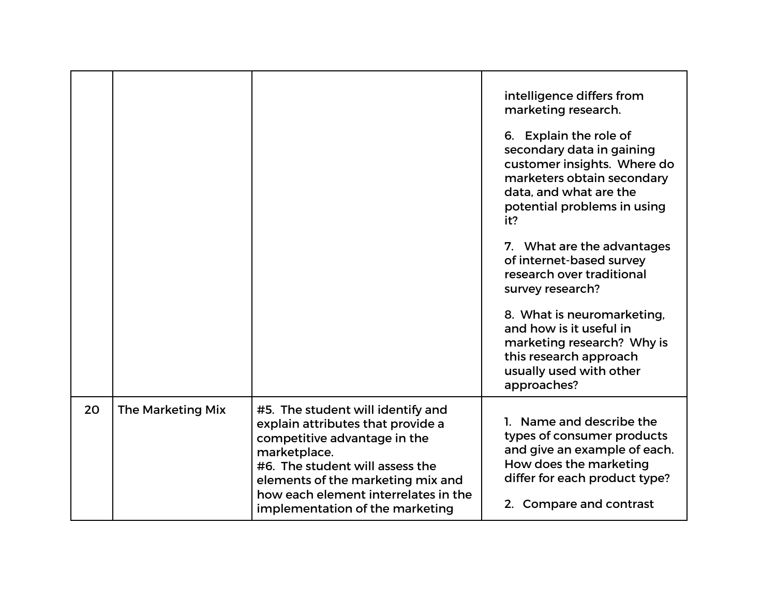|    |                   |                                                                                                                                                                                                                                                                           | intelligence differs from<br>marketing research.<br>6. Explain the role of<br>secondary data in gaining<br>customer insights. Where do<br>marketers obtain secondary<br>data, and what are the<br>potential problems in using<br>it?<br>7. What are the advantages<br>of internet-based survey<br>research over traditional<br>survey research?<br>8. What is neuromarketing,<br>and how is it useful in<br>marketing research? Why is<br>this research approach<br>usually used with other<br>approaches? |
|----|-------------------|---------------------------------------------------------------------------------------------------------------------------------------------------------------------------------------------------------------------------------------------------------------------------|------------------------------------------------------------------------------------------------------------------------------------------------------------------------------------------------------------------------------------------------------------------------------------------------------------------------------------------------------------------------------------------------------------------------------------------------------------------------------------------------------------|
| 20 | The Marketing Mix | #5. The student will identify and<br>explain attributes that provide a<br>competitive advantage in the<br>marketplace.<br>#6. The student will assess the<br>elements of the marketing mix and<br>how each element interrelates in the<br>implementation of the marketing | 1. Name and describe the<br>types of consumer products<br>and give an example of each.<br>How does the marketing<br>differ for each product type?<br>2. Compare and contrast                                                                                                                                                                                                                                                                                                                               |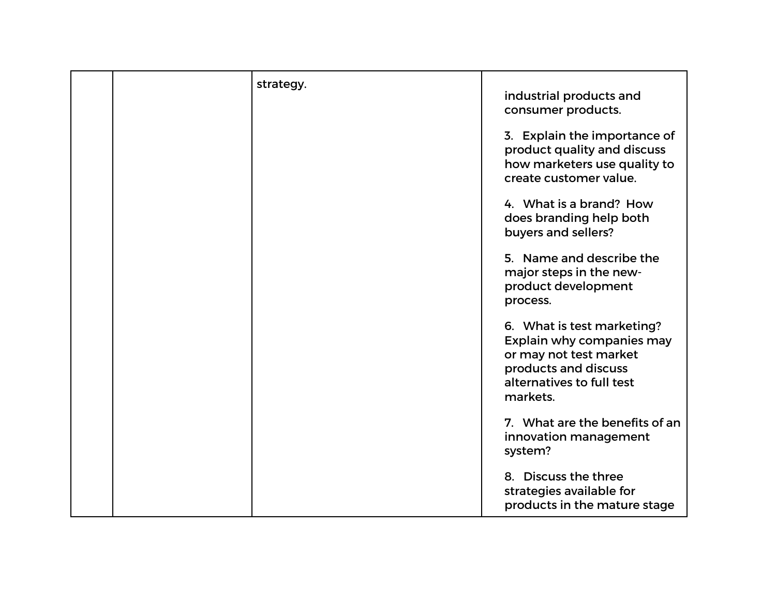| strategy. | industrial products and<br>consumer products.                                                                                                      |
|-----------|----------------------------------------------------------------------------------------------------------------------------------------------------|
|           | 3. Explain the importance of<br>product quality and discuss<br>how marketers use quality to<br>create customer value.                              |
|           | 4. What is a brand? How<br>does branding help both<br>buyers and sellers?                                                                          |
|           | 5. Name and describe the<br>major steps in the new-<br>product development<br>process.                                                             |
|           | 6. What is test marketing?<br>Explain why companies may<br>or may not test market<br>products and discuss<br>alternatives to full test<br>markets. |
|           | 7. What are the benefits of an<br>innovation management<br>system?                                                                                 |
|           | 8. Discuss the three<br>strategies available for<br>products in the mature stage                                                                   |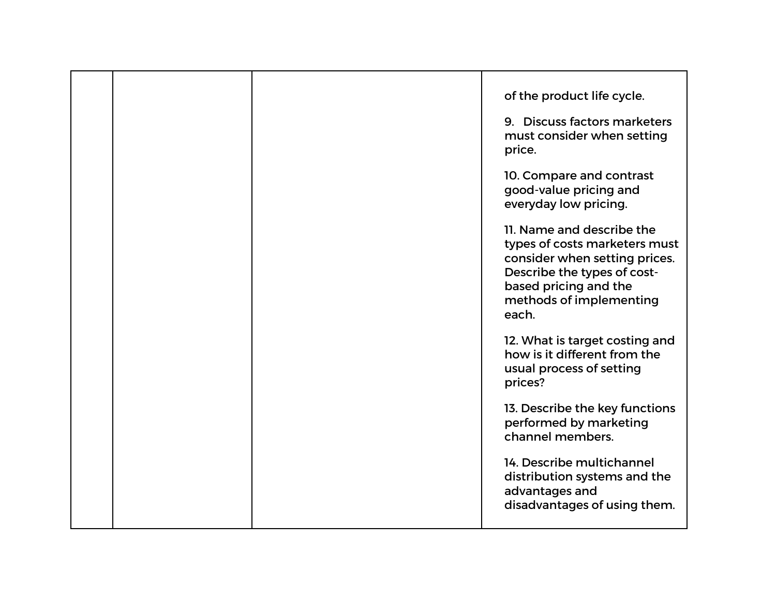|  | of the product life cycle.<br>9. Discuss factors marketers<br>must consider when setting<br>price.                                                                                      |
|--|-----------------------------------------------------------------------------------------------------------------------------------------------------------------------------------------|
|  | 10. Compare and contrast<br>good-value pricing and<br>everyday low pricing.                                                                                                             |
|  | 11. Name and describe the<br>types of costs marketers must<br>consider when setting prices.<br>Describe the types of cost-<br>based pricing and the<br>methods of implementing<br>each. |
|  | 12. What is target costing and<br>how is it different from the<br>usual process of setting<br>prices?                                                                                   |
|  | 13. Describe the key functions<br>performed by marketing<br>channel members.                                                                                                            |
|  | 14. Describe multichannel<br>distribution systems and the<br>advantages and<br>disadvantages of using them.                                                                             |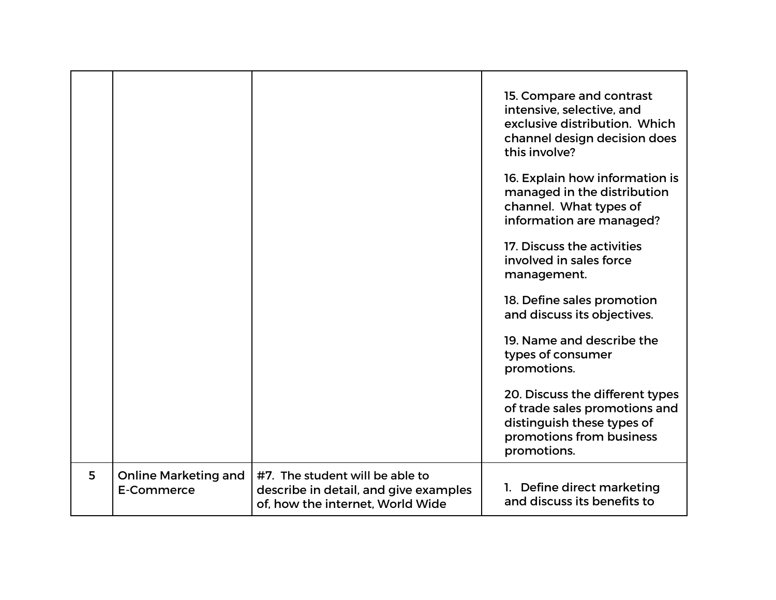|   |                                           |                                                                                                              | 15. Compare and contrast<br>intensive, selective, and<br>exclusive distribution. Which<br>channel design decision does<br>this involve?<br>16. Explain how information is<br>managed in the distribution<br>channel. What types of<br>information are managed?<br>17. Discuss the activities<br>involved in sales force<br>management.<br>18. Define sales promotion<br>and discuss its objectives.<br>19. Name and describe the<br>types of consumer<br>promotions.<br>20. Discuss the different types<br>of trade sales promotions and<br>distinguish these types of<br>promotions from business<br>promotions. |
|---|-------------------------------------------|--------------------------------------------------------------------------------------------------------------|-------------------------------------------------------------------------------------------------------------------------------------------------------------------------------------------------------------------------------------------------------------------------------------------------------------------------------------------------------------------------------------------------------------------------------------------------------------------------------------------------------------------------------------------------------------------------------------------------------------------|
| 5 | <b>Online Marketing and</b><br>E-Commerce | #7. The student will be able to<br>describe in detail, and give examples<br>of, how the internet, World Wide | 1. Define direct marketing<br>and discuss its benefits to                                                                                                                                                                                                                                                                                                                                                                                                                                                                                                                                                         |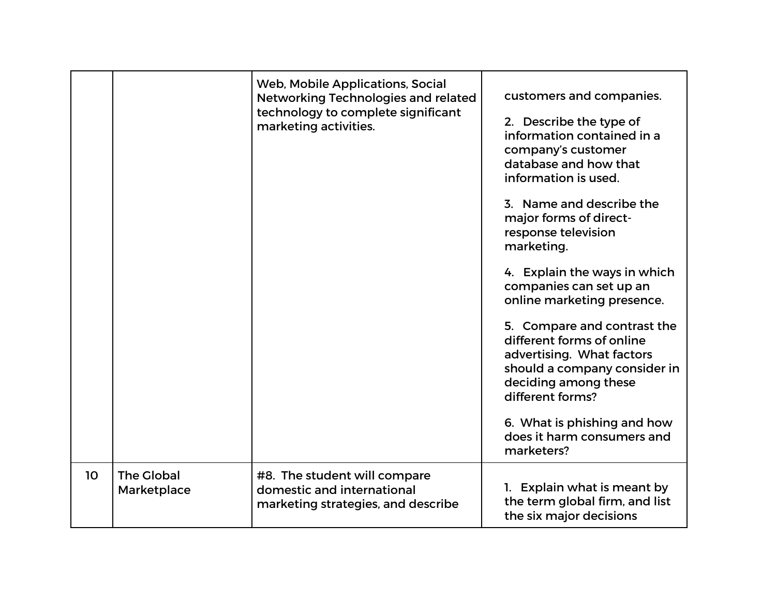|    |                                  | Web, Mobile Applications, Social<br>Networking Technologies and related<br>technology to complete significant<br>marketing activities. | customers and companies.<br>2. Describe the type of<br>information contained in a<br>company's customer<br>database and how that<br>information is used.<br>3. Name and describe the<br>major forms of direct-<br>response television<br>marketing.<br>4. Explain the ways in which<br>companies can set up an<br>online marketing presence.<br>5. Compare and contrast the<br>different forms of online<br>advertising. What factors<br>should a company consider in<br>deciding among these<br>different forms?<br>6. What is phishing and how<br>does it harm consumers and<br>marketers? |
|----|----------------------------------|----------------------------------------------------------------------------------------------------------------------------------------|----------------------------------------------------------------------------------------------------------------------------------------------------------------------------------------------------------------------------------------------------------------------------------------------------------------------------------------------------------------------------------------------------------------------------------------------------------------------------------------------------------------------------------------------------------------------------------------------|
| 10 | <b>The Global</b><br>Marketplace | #8. The student will compare<br>domestic and international<br>marketing strategies, and describe                                       | 1. Explain what is meant by<br>the term global firm, and list<br>the six major decisions                                                                                                                                                                                                                                                                                                                                                                                                                                                                                                     |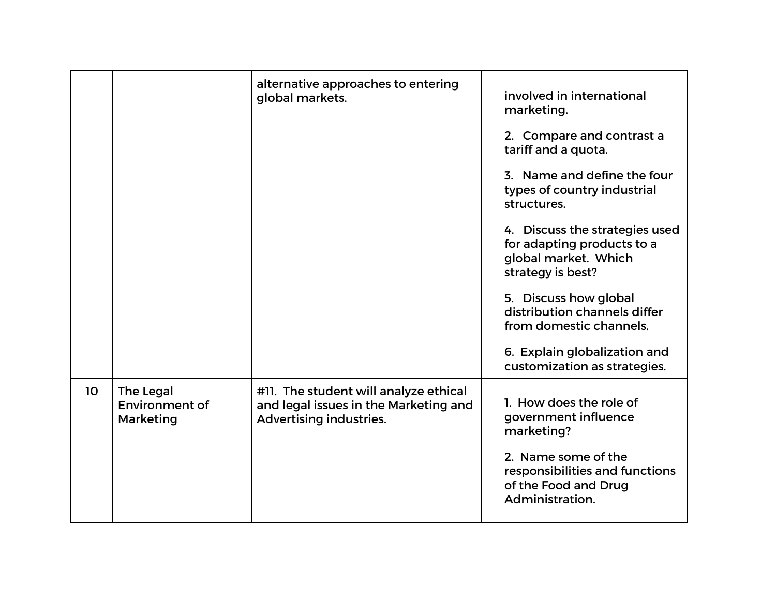|    |                                                 | alternative approaches to entering<br>global markets.                                                     | involved in international<br>marketing.                                                                   |
|----|-------------------------------------------------|-----------------------------------------------------------------------------------------------------------|-----------------------------------------------------------------------------------------------------------|
|    |                                                 |                                                                                                           | 2. Compare and contrast a<br>tariff and a quota.                                                          |
|    |                                                 |                                                                                                           | 3. Name and define the four<br>types of country industrial<br>structures.                                 |
|    |                                                 |                                                                                                           | 4. Discuss the strategies used<br>for adapting products to a<br>global market. Which<br>strategy is best? |
|    |                                                 |                                                                                                           | 5. Discuss how global<br>distribution channels differ<br>from domestic channels.                          |
|    |                                                 |                                                                                                           | 6. Explain globalization and<br>customization as strategies.                                              |
| 10 | The Legal<br><b>Environment of</b><br>Marketing | #11. The student will analyze ethical<br>and legal issues in the Marketing and<br>Advertising industries. | 1. How does the role of<br>government influence<br>marketing?                                             |
|    |                                                 |                                                                                                           | 2. Name some of the<br>responsibilities and functions<br>of the Food and Drug<br>Administration.          |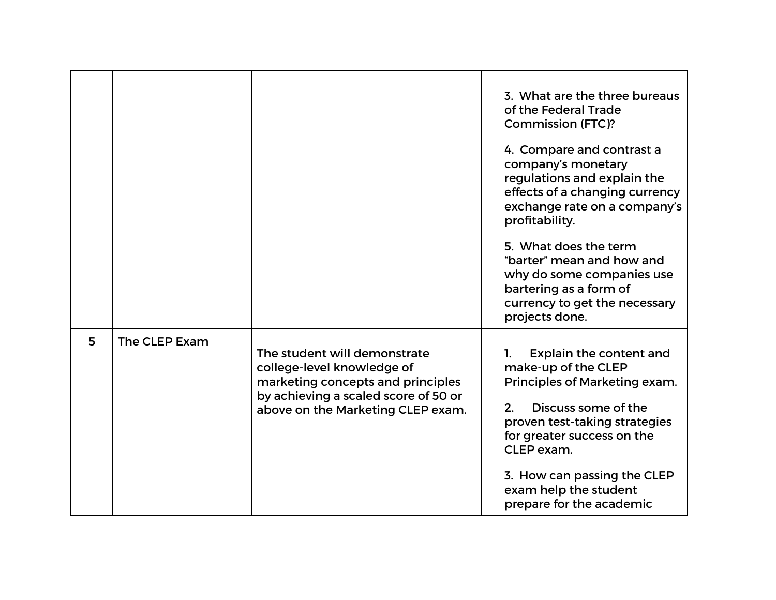|   |               |                                                                                                                                                                              | 3. What are the three bureaus<br>of the Federal Trade<br><b>Commission (FTC)?</b><br>4. Compare and contrast a<br>company's monetary<br>regulations and explain the<br>effects of a changing currency                                                                               |
|---|---------------|------------------------------------------------------------------------------------------------------------------------------------------------------------------------------|-------------------------------------------------------------------------------------------------------------------------------------------------------------------------------------------------------------------------------------------------------------------------------------|
|   |               |                                                                                                                                                                              | exchange rate on a company's<br>profitability.                                                                                                                                                                                                                                      |
|   |               |                                                                                                                                                                              | 5. What does the term<br>"barter" mean and how and<br>why do some companies use<br>bartering as a form of<br>currency to get the necessary<br>projects done.                                                                                                                        |
| 5 | The CLEP Exam | The student will demonstrate<br>college-level knowledge of<br>marketing concepts and principles<br>by achieving a scaled score of 50 or<br>above on the Marketing CLEP exam. | Explain the content and<br>1.<br>make-up of the CLEP<br>Principles of Marketing exam.<br>Discuss some of the<br>2.<br>proven test-taking strategies<br>for greater success on the<br>CLEP exam.<br>3. How can passing the CLEP<br>exam help the student<br>prepare for the academic |